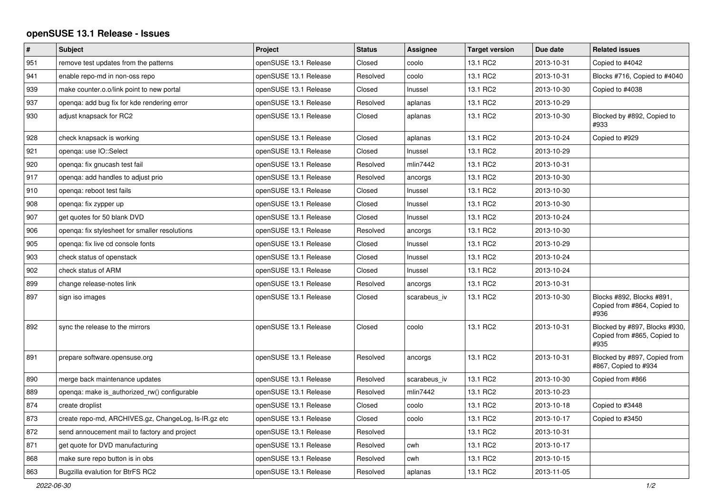## **openSUSE 13.1 Release - Issues**

| $\pmb{\#}$ | <b>Subject</b>                                       | Project               | <b>Status</b> | Assignee     | <b>Target version</b> | Due date   | <b>Related issues</b>                                                |
|------------|------------------------------------------------------|-----------------------|---------------|--------------|-----------------------|------------|----------------------------------------------------------------------|
| 951        | remove test updates from the patterns                | openSUSE 13.1 Release | Closed        | coolo        | 13.1 RC2              | 2013-10-31 | Copied to #4042                                                      |
| 941        | enable repo-md in non-oss repo                       | openSUSE 13.1 Release | Resolved      | coolo        | 13.1 RC2              | 2013-10-31 | Blocks #716, Copied to #4040                                         |
| 939        | make counter.o.o/link point to new portal            | openSUSE 13.1 Release | Closed        | Inussel      | 13.1 RC2              | 2013-10-30 | Copied to #4038                                                      |
| 937        | openga: add bug fix for kde rendering error          | openSUSE 13.1 Release | Resolved      | aplanas      | 13.1 RC2              | 2013-10-29 |                                                                      |
| 930        | adjust knapsack for RC2                              | openSUSE 13.1 Release | Closed        | aplanas      | 13.1 RC2              | 2013-10-30 | Blocked by #892, Copied to<br>#933                                   |
| 928        | check knapsack is working                            | openSUSE 13.1 Release | Closed        | aplanas      | 13.1 RC2              | 2013-10-24 | Copied to #929                                                       |
| 921        | openga: use IO::Select                               | openSUSE 13.1 Release | Closed        | Inussel      | 13.1 RC2              | 2013-10-29 |                                                                      |
| 920        | openqa: fix gnucash test fail                        | openSUSE 13.1 Release | Resolved      | mlin7442     | 13.1 RC2              | 2013-10-31 |                                                                      |
| 917        | openga: add handles to adjust prio                   | openSUSE 13.1 Release | Resolved      | ancorgs      | 13.1 RC2              | 2013-10-30 |                                                                      |
| 910        | openga: reboot test fails                            | openSUSE 13.1 Release | Closed        | Inussel      | 13.1 RC2              | 2013-10-30 |                                                                      |
| 908        | openga: fix zypper up                                | openSUSE 13.1 Release | Closed        | Inussel      | 13.1 RC2              | 2013-10-30 |                                                                      |
| 907        | get quotes for 50 blank DVD                          | openSUSE 13.1 Release | Closed        | Inussel      | 13.1 RC2              | 2013-10-24 |                                                                      |
| 906        | openqa: fix stylesheet for smaller resolutions       | openSUSE 13.1 Release | Resolved      | ancorgs      | 13.1 RC2              | 2013-10-30 |                                                                      |
| 905        | openqa: fix live cd console fonts                    | openSUSE 13.1 Release | Closed        | Inussel      | 13.1 RC2              | 2013-10-29 |                                                                      |
| 903        | check status of openstack                            | openSUSE 13.1 Release | Closed        | Inussel      | 13.1 RC2              | 2013-10-24 |                                                                      |
| 902        | check status of ARM                                  | openSUSE 13.1 Release | Closed        | Inussel      | 13.1 RC2              | 2013-10-24 |                                                                      |
| 899        | change release-notes link                            | openSUSE 13.1 Release | Resolved      | ancorgs      | 13.1 RC2              | 2013-10-31 |                                                                      |
| 897        | sign iso images                                      | openSUSE 13.1 Release | Closed        | scarabeus iv | 13.1 RC2              | 2013-10-30 | Blocks #892, Blocks #891,<br>Copied from #864, Copied to<br>#936     |
| 892        | sync the release to the mirrors                      | openSUSE 13.1 Release | Closed        | coolo        | 13.1 RC2              | 2013-10-31 | Blocked by #897, Blocks #930,<br>Copied from #865, Copied to<br>#935 |
| 891        | prepare software.opensuse.org                        | openSUSE 13.1 Release | Resolved      | ancorgs      | 13.1 RC2              | 2013-10-31 | Blocked by #897, Copied from<br>#867, Copied to #934                 |
| 890        | merge back maintenance updates                       | openSUSE 13.1 Release | Resolved      | scarabeus iv | 13.1 RC2              | 2013-10-30 | Copied from #866                                                     |
| 889        | openga: make is authorized rw() configurable         | openSUSE 13.1 Release | Resolved      | mlin7442     | 13.1 RC2              | 2013-10-23 |                                                                      |
| 874        | create droplist                                      | openSUSE 13.1 Release | Closed        | coolo        | 13.1 RC2              | 2013-10-18 | Copied to #3448                                                      |
| 873        | create repo-md, ARCHIVES.gz, ChangeLog, Is-IR.gz etc | openSUSE 13.1 Release | Closed        | coolo        | 13.1 RC2              | 2013-10-17 | Copied to #3450                                                      |
| 872        | send annoucement mail to factory and project         | openSUSE 13.1 Release | Resolved      |              | 13.1 RC2              | 2013-10-31 |                                                                      |
| 871        | get quote for DVD manufacturing                      | openSUSE 13.1 Release | Resolved      | cwh          | 13.1 RC2              | 2013-10-17 |                                                                      |
| 868        | make sure repo button is in obs                      | openSUSE 13.1 Release | Resolved      | cwh          | 13.1 RC2              | 2013-10-15 |                                                                      |
| 863        | Bugzilla evalution for BtrFS RC2                     | openSUSE 13.1 Release | Resolved      | aplanas      | 13.1 RC2              | 2013-11-05 |                                                                      |